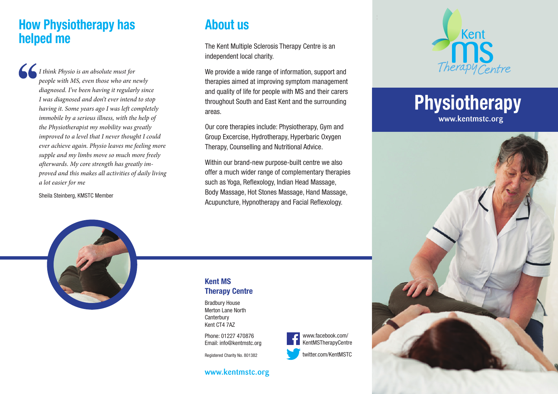### **How Physiotherapy has helped me**

*I think Physio is an absolute must for people with MS, even those who are newly diagnosed. I've been having it regularly since I was diagnosed and don't ever intend to stop having it. Some years ago I was left completely immobile by a serious illness, with the help of the Physiotherapist my mobility was greatly improved to a level that I never thought I could ever achieve again. Physio leaves me feeling more supple and my limbs move so much more freely afterwards. My core strength has greatly improved and this makes all activities of daily living a lot easier for me*

Sheila Steinberg, KMSTC Member

### **About us**

The Kent Multiple Sclerosis Therapy Centre is an independent local charity.

We provide a wide range of information, support and therapies aimed at improving symptom management and quality of life for people with MS and their carers throughout South and East Kent and the surrounding areas.

Our core therapies include: Physiotherapy, Gym and Group Excercise, Hydrotherapy, Hyperbaric Oxygen Therapy, Counselling and Nutritional Advice.

Within our brand-new purpose-built centre we also offer a much wider range of complementary therapies such as Yoga, Reflexology, Indian Head Massage, Body Massage, Hot Stones Massage, Hand Massage, Acupuncture, Hypnotherapy and Facial Reflexology.



# **Physiotherapy** www.kentmstc.org





#### **Kent MS Therapy Centre**

Bradbury House Merton Lane North **Canterbury** Kent CT4 7AZ

Phone: 01227 470876 Email: info@kentmstc.org

Registered Charity No. 801382

#### www.kentmstc.org